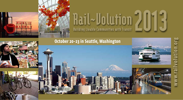

# **Rail~Uolution**  $\mathrm{Rail}$  - Dolution 2013

## **October 20–23 in Seattle, Washington**